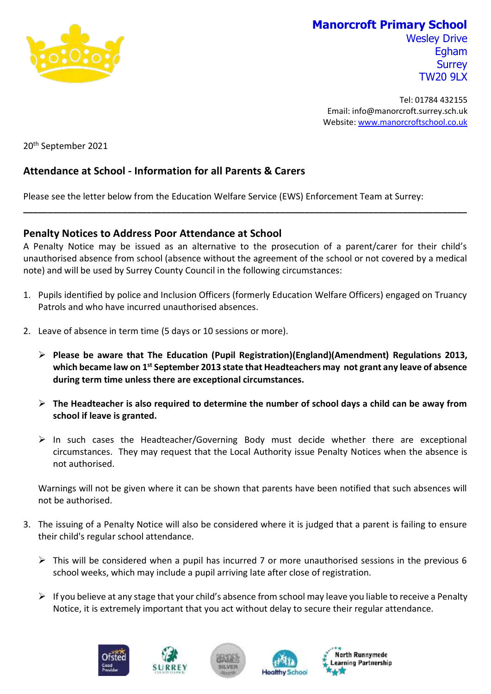

**Manorcroft Primary School** Wesley Drive Egham **Surrey** TW20 9LX

Tel: 01784 432155 Email: info@manorcroft.surrey.sch.uk Website: www.manorcroftschool.co.uk

20th September 2021

## **Attendance at School - Information for all Parents & Carers**

Please see the letter below from the Education Welfare Service (EWS) Enforcement Team at Surrey:

## **Penalty Notices to Address Poor Attendance at School**

A Penalty Notice may be issued as an alternative to the prosecution of a parent/carer for their child's unauthorised absence from school (absence without the agreement of the school or not covered by a medical note) and will be used by Surrey County Council in the following circumstances:

**\_\_\_\_\_\_\_\_\_\_\_\_\_\_\_\_\_\_\_\_\_\_\_\_\_\_\_\_\_\_\_\_\_\_\_\_\_\_\_\_\_\_\_\_\_\_\_\_\_\_\_\_\_\_\_\_\_\_\_\_\_\_\_\_\_\_\_\_\_\_\_\_\_\_\_\_\_\_\_\_\_\_\_\_\_\_\_\_\_\_**

- 1. Pupils identified by police and Inclusion Officers (formerly Education Welfare Officers) engaged on Truancy Patrols and who have incurred unauthorised absences.
- 2. Leave of absence in term time (5 days or 10 sessions or more).
	- **Please be aware that The Education (Pupil Registration)(England)(Amendment) Regulations 2013, which became law on 1st September 2013 state that Headteachers may not grant any leave of absence during term time unless there are exceptional circumstances.**
	- **The Headteacher is also required to determine the number of school days a child can be away from school if leave is granted.**
	- $\triangleright$  In such cases the Headteacher/Governing Body must decide whether there are exceptional circumstances. They may request that the Local Authority issue Penalty Notices when the absence is not authorised.

Warnings will not be given where it can be shown that parents have been notified that such absences will not be authorised.

- 3. The issuing of a Penalty Notice will also be considered where it is judged that a parent is failing to ensure their child's regular school attendance.
	- $\triangleright$  This will be considered when a pupil has incurred 7 or more unauthorised sessions in the previous 6 school weeks, which may include a pupil arriving late after close of registration.
	- $\triangleright$  If you believe at any stage that your child's absence from school may leave you liable to receive a Penalty Notice, it is extremely important that you act without delay to secure their regular attendance.